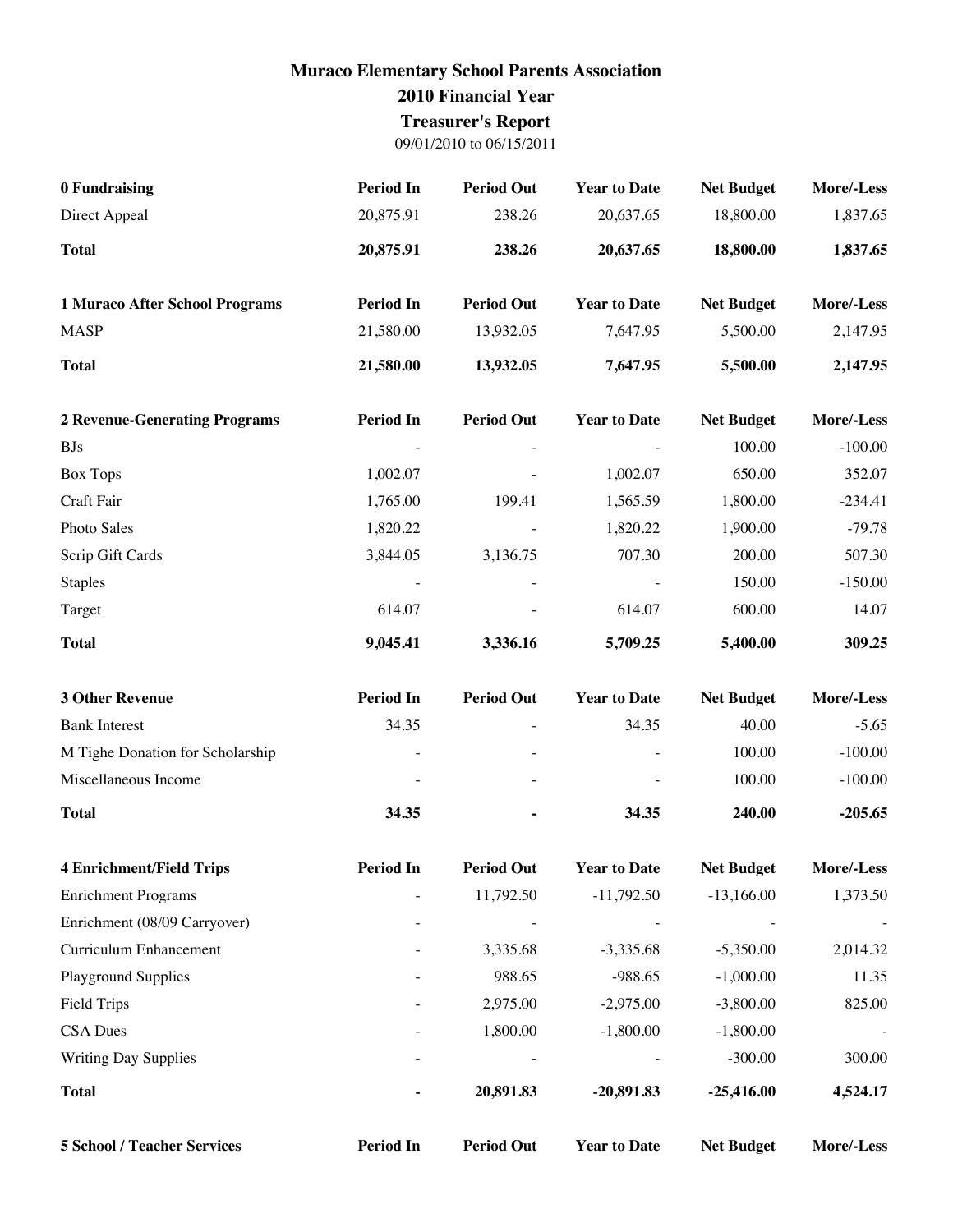## **Muraco Elementary School Parents Association 2010 Financial Year Treasurer's Report**

09/01/2010 to 06/15/2011

| 0 Fundraising                        | <b>Period In</b> | <b>Period Out</b> | <b>Year to Date</b> | <b>Net Budget</b> | More/-Less |
|--------------------------------------|------------------|-------------------|---------------------|-------------------|------------|
| Direct Appeal                        | 20,875.91        | 238.26            | 20,637.65           | 18,800.00         | 1,837.65   |
| <b>Total</b>                         | 20,875.91        | 238.26            | 20,637.65           | 18,800.00         | 1,837.65   |
| 1 Muraco After School Programs       | <b>Period In</b> | <b>Period Out</b> | <b>Year to Date</b> | <b>Net Budget</b> | More/-Less |
| <b>MASP</b>                          | 21,580.00        | 13,932.05         | 7,647.95            | 5,500.00          | 2,147.95   |
| <b>Total</b>                         | 21,580.00        | 13,932.05         | 7,647.95            | 5,500.00          | 2,147.95   |
| <b>2 Revenue-Generating Programs</b> | <b>Period In</b> | <b>Period Out</b> | <b>Year to Date</b> | <b>Net Budget</b> | More/-Less |
| <b>BJs</b>                           |                  |                   |                     | 100.00            | $-100.00$  |
| <b>Box Tops</b>                      | 1,002.07         |                   | 1,002.07            | 650.00            | 352.07     |
| Craft Fair                           | 1,765.00         | 199.41            | 1,565.59            | 1,800.00          | $-234.41$  |
| Photo Sales                          | 1,820.22         |                   | 1,820.22            | 1,900.00          | $-79.78$   |
| Scrip Gift Cards                     | 3,844.05         | 3,136.75          | 707.30              | 200.00            | 507.30     |
| <b>Staples</b>                       |                  |                   |                     | 150.00            | $-150.00$  |
| Target                               | 614.07           |                   | 614.07              | 600.00            | 14.07      |
| <b>Total</b>                         | 9,045.41         | 3,336.16          | 5,709.25            | 5,400.00          | 309.25     |
| <b>3 Other Revenue</b>               | <b>Period In</b> | <b>Period Out</b> | <b>Year to Date</b> | <b>Net Budget</b> | More/-Less |
| <b>Bank Interest</b>                 | 34.35            |                   | 34.35               | 40.00             | $-5.65$    |
| M Tighe Donation for Scholarship     |                  |                   |                     | 100.00            | $-100.00$  |
| Miscellaneous Income                 |                  |                   |                     | 100.00            | $-100.00$  |
| <b>Total</b>                         | 34.35            |                   | 34.35               | 240.00            | $-205.65$  |
| <b>4 Enrichment/Field Trips</b>      | <b>Period In</b> | <b>Period Out</b> | <b>Year to Date</b> | <b>Net Budget</b> | More/-Less |
| <b>Enrichment Programs</b>           |                  | 11,792.50         | $-11,792.50$        | $-13,166.00$      | 1,373.50   |
| Enrichment (08/09 Carryover)         |                  |                   |                     |                   |            |
| Curriculum Enhancement               |                  | 3,335.68          | $-3,335.68$         | $-5,350.00$       | 2,014.32   |
| <b>Playground Supplies</b>           |                  | 988.65            | $-988.65$           | $-1,000.00$       | 11.35      |
| <b>Field Trips</b>                   |                  | 2,975.00          | $-2,975.00$         | $-3,800.00$       | 825.00     |
| <b>CSA Dues</b>                      |                  | 1,800.00          | $-1,800.00$         | $-1,800.00$       |            |
| Writing Day Supplies                 |                  |                   |                     | $-300.00$         | 300.00     |
| <b>Total</b>                         |                  | 20,891.83         | $-20,891.83$        | $-25,416.00$      | 4,524.17   |
| <b>5 School / Teacher Services</b>   | <b>Period In</b> | <b>Period Out</b> | <b>Year to Date</b> | <b>Net Budget</b> | More/-Less |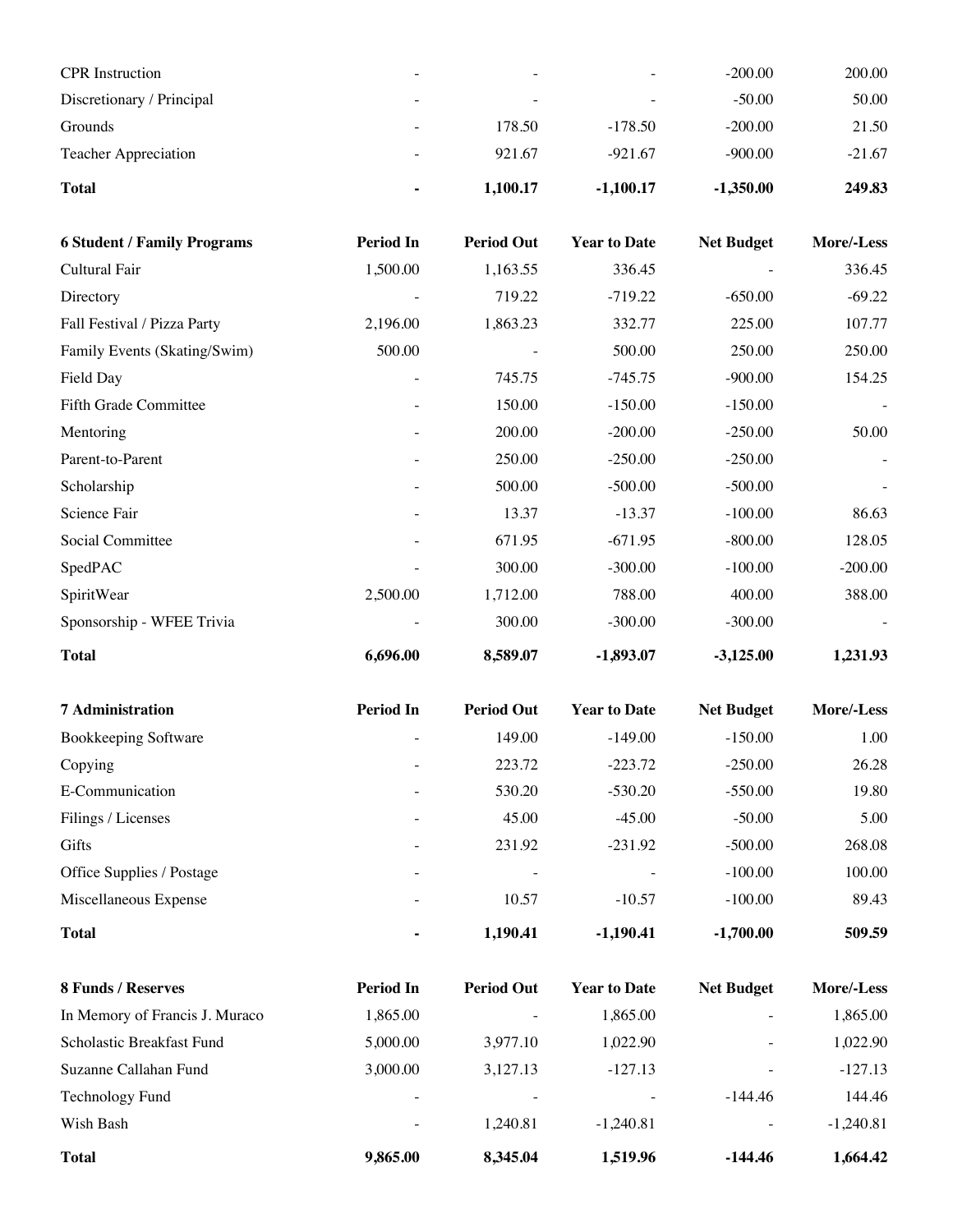| ۰                        | 1,100.17                 | $-1,100.17$              | $-1,350.00$ | 249.83   |
|--------------------------|--------------------------|--------------------------|-------------|----------|
| $\overline{\phantom{a}}$ | 921.67                   | $-921.67$                | $-900.00$   | $-21.67$ |
| $\overline{\phantom{0}}$ | 178.50                   | $-178.50$                | $-200.00$   | 21.50    |
| $\overline{\phantom{a}}$ | $\overline{\phantom{0}}$ | $\overline{\phantom{0}}$ | $-50.00$    | 50.00    |
| $\overline{\phantom{0}}$ | $\overline{\phantom{0}}$ | $\overline{\phantom{0}}$ | $-200.00$   | 200.00   |
|                          |                          |                          |             |          |

| <b>6 Student / Family Programs</b> | <b>Period In</b> | <b>Period Out</b> | <b>Year to Date</b> | <b>Net Budget</b> | More/-Less |
|------------------------------------|------------------|-------------------|---------------------|-------------------|------------|
| Cultural Fair                      | 1,500.00         | 1,163.55          | 336.45              |                   | 336.45     |
| Directory                          |                  | 719.22            | $-719.22$           | $-650.00$         | $-69.22$   |
| Fall Festival / Pizza Party        | 2,196.00         | 1,863.23          | 332.77              | 225.00            | 107.77     |
| Family Events (Skating/Swim)       | 500.00           |                   | 500.00              | 250.00            | 250.00     |
| Field Day                          | $\overline{a}$   | 745.75            | $-745.75$           | $-900.00$         | 154.25     |
| <b>Fifth Grade Committee</b>       |                  | 150.00            | $-150.00$           | $-150.00$         |            |
| Mentoring                          |                  | 200.00            | $-200.00$           | $-250.00$         | 50.00      |
| Parent-to-Parent                   |                  | 250.00            | $-250.00$           | $-250.00$         |            |
| Scholarship                        |                  | 500.00            | $-500.00$           | $-500.00$         |            |
| Science Fair                       |                  | 13.37             | $-13.37$            | $-100.00$         | 86.63      |
| Social Committee                   |                  | 671.95            | $-671.95$           | $-800.00$         | 128.05     |
| SpedPAC                            |                  | 300.00            | $-300.00$           | $-100.00$         | $-200.00$  |
| SpiritWear                         | 2,500.00         | 1,712.00          | 788.00              | 400.00            | 388.00     |
| Sponsorship - WFEE Trivia          |                  | 300.00            | $-300.00$           | $-300.00$         |            |
| <b>Total</b>                       | 6,696.00         | 8,589.07          | $-1,893.07$         | $-3,125.00$       | 1,231.93   |

| <b>7</b> Administration   | <b>Period In</b>         | <b>Period Out</b> | <b>Year to Date</b>      | <b>Net Budget</b> | More/-Less |
|---------------------------|--------------------------|-------------------|--------------------------|-------------------|------------|
| Bookkeeping Software      |                          | 149.00            | $-149.00$                | $-150.00$         | 1.00       |
| Copying                   | $\overline{a}$           | 223.72            | $-223.72$                | $-250.00$         | 26.28      |
| E-Communication           | $\overline{\phantom{a}}$ | 530.20            | $-530.20$                | $-550.00$         | 19.80      |
| Filings / Licenses        | $\overline{\phantom{0}}$ | 45.00             | $-45.00$                 | $-50.00$          | 5.00       |
| Gifts                     |                          | 231.92            | $-231.92$                | $-500.00$         | 268.08     |
| Office Supplies / Postage | $\overline{\phantom{0}}$ |                   | $\overline{\phantom{0}}$ | $-100.00$         | 100.00     |
| Miscellaneous Expense     | $\overline{\phantom{0}}$ | 10.57             | $-10.57$                 | $-100.00$         | 89.43      |
| <b>Total</b>              | ۰                        | 1,190.41          | $-1,190.41$              | $-1,700.00$       | 509.59     |

| 8 Funds / Reserves             | <b>Period In</b>         | <b>Period Out</b> | <b>Year to Date</b> | <b>Net Budget</b>        | More/-Less  |
|--------------------------------|--------------------------|-------------------|---------------------|--------------------------|-------------|
| In Memory of Francis J. Muraco | 1.865.00                 |                   | 1.865.00            |                          | 1,865.00    |
| Scholastic Breakfast Fund      | 5,000.00                 | 3.977.10          | 1.022.90            | $\overline{\phantom{0}}$ | 1,022.90    |
| Suzanne Callahan Fund          | 3,000.00                 | 3.127.13          | $-127.13$           | $\overline{\phantom{0}}$ | $-127.13$   |
| Technology Fund                | $\equiv$                 |                   |                     | $-144.46$                | 144.46      |
| Wish Bash                      | $\overline{\phantom{a}}$ | 1.240.81          | $-1.240.81$         | $\sim$                   | $-1,240.81$ |
| <b>Total</b>                   | 9,865,00                 | 8.345.04          | 1.519.96            | -144.46                  | 1,664.42    |